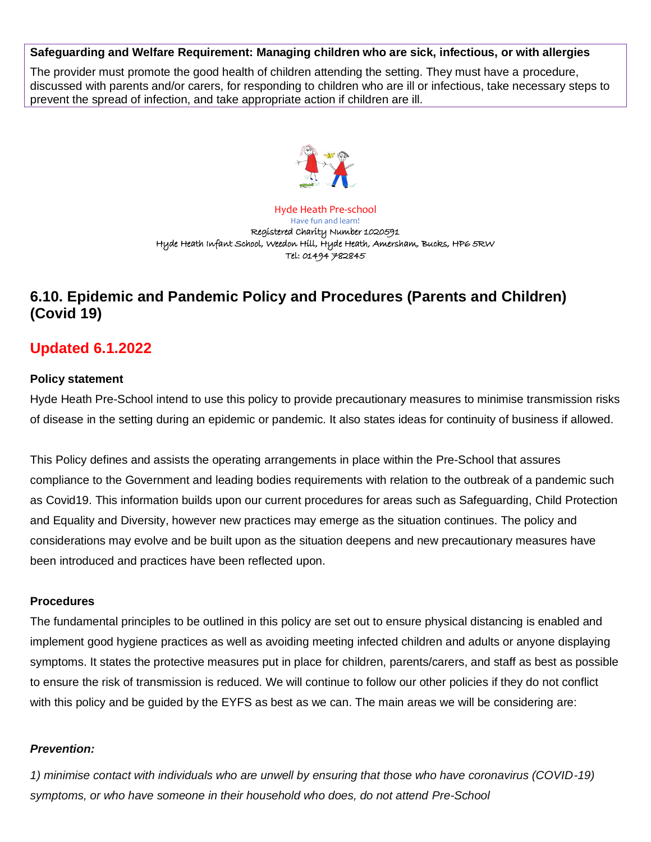#### **Safeguarding and Welfare Requirement: Managing children who are sick, infectious, or with allergies**

The provider must promote the good health of children attending the setting. They must have a procedure, discussed with parents and/or carers, for responding to children who are ill or infectious, take necessary steps to prevent the spread of infection, and take appropriate action if children are ill.



Hyde Heath Pre-school Have fun and learn! Registered Charity Number 1020591 Hyde Heath Infant School, Weedon Hill, Hyde Heath, Amersham, Bucks, HP6 5RW Tel: 01494 782845

# **6.10. Epidemic and Pandemic Policy and Procedures (Parents and Children) (Covid 19)**

# **Updated 6.1.2022**

#### **Policy statement**

Hyde Heath Pre-School intend to use this policy to provide precautionary measures to minimise transmission risks of disease in the setting during an epidemic or pandemic. It also states ideas for continuity of business if allowed.

This Policy defines and assists the operating arrangements in place within the Pre-School that assures compliance to the Government and leading bodies requirements with relation to the outbreak of a pandemic such as Covid19. This information builds upon our current procedures for areas such as Safeguarding, Child Protection and Equality and Diversity, however new practices may emerge as the situation continues. The policy and considerations may evolve and be built upon as the situation deepens and new precautionary measures have been introduced and practices have been reflected upon.

#### **Procedures**

The fundamental principles to be outlined in this policy are set out to ensure physical distancing is enabled and implement good hygiene practices as well as avoiding meeting infected children and adults or anyone displaying symptoms. It states the protective measures put in place for children, parents/carers, and staff as best as possible to ensure the risk of transmission is reduced. We will continue to follow our other policies if they do not conflict with this policy and be guided by the EYFS as best as we can. The main areas we will be considering are:

### *Prevention:*

*1) minimise contact with individuals who are unwell by ensuring that those who have coronavirus (COVID-19) symptoms, or who have someone in their household who does, do not attend Pre-School*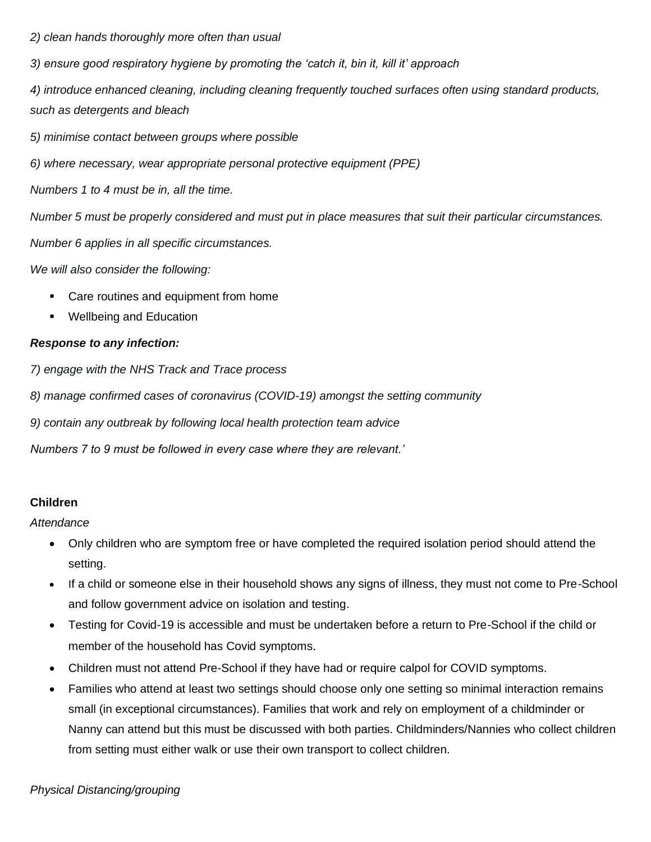*2) clean hands thoroughly more often than usual*

*3) ensure good respiratory hygiene by promoting the 'catch it, bin it, kill it' approach*

*4) introduce enhanced cleaning, including cleaning frequently touched surfaces often using standard products, such as detergents and bleach*

*5) minimise contact between groups where possible*

*6) where necessary, wear appropriate personal protective equipment (PPE)*

*Numbers 1 to 4 must be in, all the time.*

*Number 5 must be properly considered and must put in place measures that suit their particular circumstances.*

*Number 6 applies in all specific circumstances.*

*We will also consider the following:*

- Care routines and equipment from home
- Wellbeing and Education

### *Response to any infection:*

*7) engage with the NHS Track and Trace process*

*8) manage confirmed cases of coronavirus (COVID-19) amongst the setting community*

*9) contain any outbreak by following local health protection team advice*

*Numbers 7 to 9 must be followed in every case where they are relevant.'*

### **Children**

*Attendance*

- Only children who are symptom free or have completed the required isolation period should attend the setting.
- If a child or someone else in their household shows any signs of illness, they must not come to Pre-School and follow government advice on isolation and testing.
- Testing for Covid-19 is accessible and must be undertaken before a return to Pre-School if the child or member of the household has Covid symptoms.
- Children must not attend Pre-School if they have had or require calpol for COVID symptoms.
- Families who attend at least two settings should choose only one setting so minimal interaction remains small (in exceptional circumstances). Families that work and rely on employment of a childminder or Nanny can attend but this must be discussed with both parties. Childminders/Nannies who collect children from setting must either walk or use their own transport to collect children.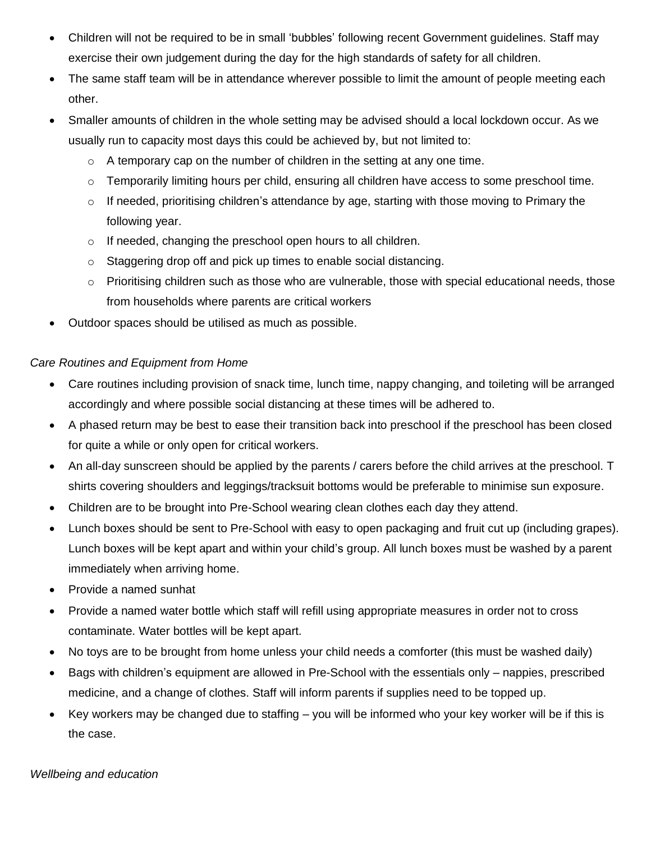- Children will not be required to be in small 'bubbles' following recent Government guidelines. Staff may exercise their own judgement during the day for the high standards of safety for all children.
- The same staff team will be in attendance wherever possible to limit the amount of people meeting each other.
- Smaller amounts of children in the whole setting may be advised should a local lockdown occur. As we usually run to capacity most days this could be achieved by, but not limited to:
	- $\circ$  A temporary cap on the number of children in the setting at any one time.
	- $\circ$  Temporarily limiting hours per child, ensuring all children have access to some preschool time.
	- $\circ$  If needed, prioritising children's attendance by age, starting with those moving to Primary the following year.
	- o If needed, changing the preschool open hours to all children.
	- o Staggering drop off and pick up times to enable social distancing.
	- $\circ$  Prioritising children such as those who are vulnerable, those with special educational needs, those from households where parents are critical workers
- Outdoor spaces should be utilised as much as possible.

## *Care Routines and Equipment from Home*

- Care routines including provision of snack time, lunch time, nappy changing, and toileting will be arranged accordingly and where possible social distancing at these times will be adhered to.
- A phased return may be best to ease their transition back into preschool if the preschool has been closed for quite a while or only open for critical workers.
- An all-day sunscreen should be applied by the parents / carers before the child arrives at the preschool. T shirts covering shoulders and leggings/tracksuit bottoms would be preferable to minimise sun exposure.
- Children are to be brought into Pre-School wearing clean clothes each day they attend.
- Lunch boxes should be sent to Pre-School with easy to open packaging and fruit cut up (including grapes). Lunch boxes will be kept apart and within your child's group. All lunch boxes must be washed by a parent immediately when arriving home.
- Provide a named sunhat
- Provide a named water bottle which staff will refill using appropriate measures in order not to cross contaminate. Water bottles will be kept apart.
- No toys are to be brought from home unless your child needs a comforter (this must be washed daily)
- Bags with children's equipment are allowed in Pre-School with the essentials only nappies, prescribed medicine, and a change of clothes. Staff will inform parents if supplies need to be topped up.
- Key workers may be changed due to staffing you will be informed who your key worker will be if this is the case.

*Wellbeing and education*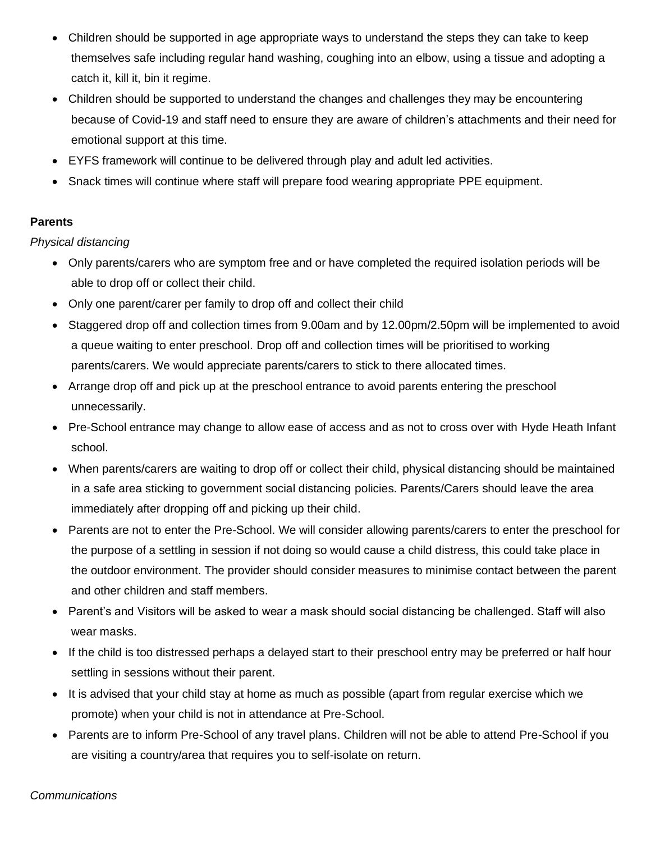- Children should be supported in age appropriate ways to understand the steps they can take to keep themselves safe including regular hand washing, coughing into an elbow, using a tissue and adopting a catch it, kill it, bin it regime.
- Children should be supported to understand the changes and challenges they may be encountering because of Covid-19 and staff need to ensure they are aware of children's attachments and their need for emotional support at this time.
- EYFS framework will continue to be delivered through play and adult led activities.
- Snack times will continue where staff will prepare food wearing appropriate PPE equipment.

### **Parents**

*Physical distancing* 

- Only parents/carers who are symptom free and or have completed the required isolation periods will be able to drop off or collect their child.
- Only one parent/carer per family to drop off and collect their child
- Staggered drop off and collection times from 9.00am and by 12.00pm/2.50pm will be implemented to avoid a queue waiting to enter preschool. Drop off and collection times will be prioritised to working parents/carers. We would appreciate parents/carers to stick to there allocated times.
- Arrange drop off and pick up at the preschool entrance to avoid parents entering the preschool unnecessarily.
- Pre-School entrance may change to allow ease of access and as not to cross over with Hyde Heath Infant school.
- When parents/carers are waiting to drop off or collect their child, physical distancing should be maintained in a safe area sticking to government social distancing policies. Parents/Carers should leave the area immediately after dropping off and picking up their child.
- Parents are not to enter the Pre-School. We will consider allowing parents/carers to enter the preschool for the purpose of a settling in session if not doing so would cause a child distress, this could take place in the outdoor environment. The provider should consider measures to minimise contact between the parent and other children and staff members.
- Parent's and Visitors will be asked to wear a mask should social distancing be challenged. Staff will also wear masks.
- If the child is too distressed perhaps a delayed start to their preschool entry may be preferred or half hour settling in sessions without their parent.
- It is advised that your child stay at home as much as possible (apart from regular exercise which we promote) when your child is not in attendance at Pre-School.
- Parents are to inform Pre-School of any travel plans. Children will not be able to attend Pre-School if you are visiting a country/area that requires you to self-isolate on return.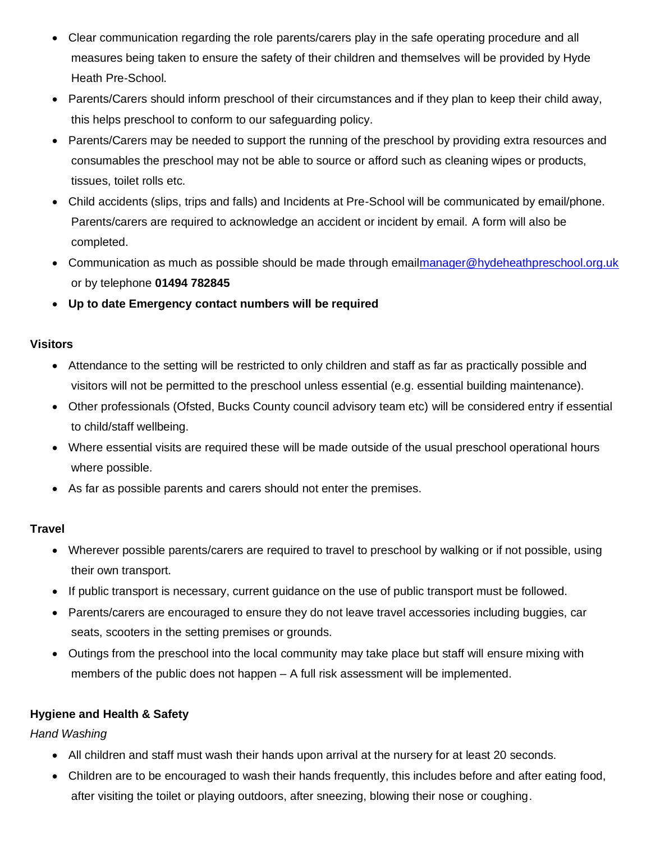- Clear communication regarding the role parents/carers play in the safe operating procedure and all measures being taken to ensure the safety of their children and themselves will be provided by Hyde Heath Pre-School.
- Parents/Carers should inform preschool of their circumstances and if they plan to keep their child away, this helps preschool to conform to our safeguarding policy.
- Parents/Carers may be needed to support the running of the preschool by providing extra resources and consumables the preschool may not be able to source or afford such as cleaning wipes or products, tissues, toilet rolls etc.
- Child accidents (slips, trips and falls) and Incidents at Pre-School will be communicated by email/phone. Parents/carers are required to acknowledge an accident or incident by email. A form will also be completed.
- Communication as much as possible should be made through ema[ilmanager@hydeheathpreschool.org.uk](mailto:manager@hydeheathpreschool.org.uk) or by telephone **01494 782845**
- **Up to date Emergency contact numbers will be required**

### **Visitors**

- Attendance to the setting will be restricted to only children and staff as far as practically possible and visitors will not be permitted to the preschool unless essential (e.g. essential building maintenance).
- Other professionals (Ofsted, Bucks County council advisory team etc) will be considered entry if essential to child/staff wellbeing.
- Where essential visits are required these will be made outside of the usual preschool operational hours where possible.
- As far as possible parents and carers should not enter the premises.

# **Travel**

- Wherever possible parents/carers are required to travel to preschool by walking or if not possible, using their own transport.
- If public transport is necessary, current guidance on the use of public transport must be followed.
- Parents/carers are encouraged to ensure they do not leave travel accessories including buggies, car seats, scooters in the setting premises or grounds.
- Outings from the preschool into the local community may take place but staff will ensure mixing with members of the public does not happen – A full risk assessment will be implemented.

# **Hygiene and Health & Safety**

*Hand Washing* 

- All children and staff must wash their hands upon arrival at the nursery for at least 20 seconds.
- Children are to be encouraged to wash their hands frequently, this includes before and after eating food, after visiting the toilet or playing outdoors, after sneezing, blowing their nose or coughing.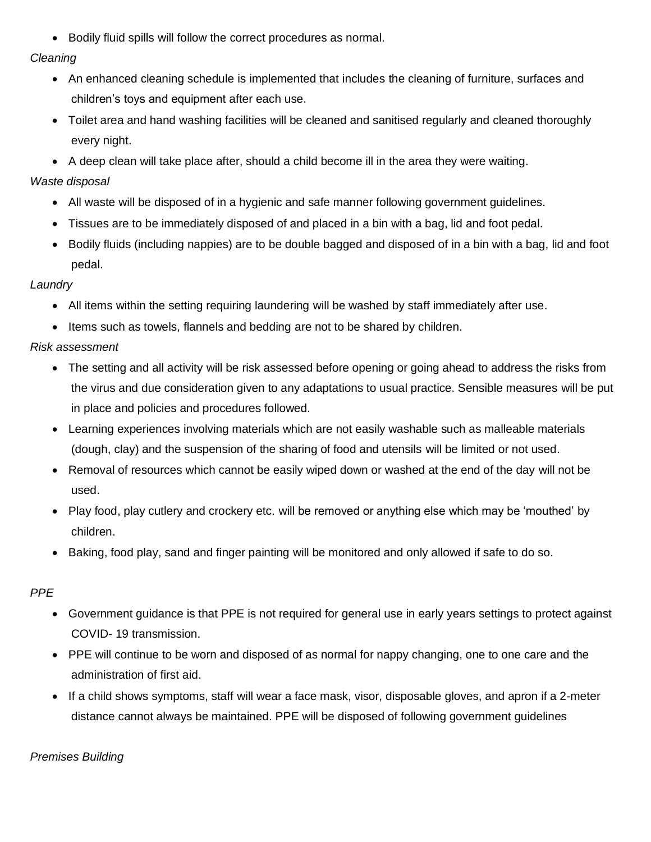• Bodily fluid spills will follow the correct procedures as normal.

### *Cleaning*

- An enhanced cleaning schedule is implemented that includes the cleaning of furniture, surfaces and children's toys and equipment after each use.
- Toilet area and hand washing facilities will be cleaned and sanitised regularly and cleaned thoroughly every night.
- A deep clean will take place after, should a child become ill in the area they were waiting.

# *Waste disposal*

- All waste will be disposed of in a hygienic and safe manner following government guidelines.
- Tissues are to be immediately disposed of and placed in a bin with a bag, lid and foot pedal.
- Bodily fluids (including nappies) are to be double bagged and disposed of in a bin with a bag, lid and foot pedal.

# *Laundry*

- All items within the setting requiring laundering will be washed by staff immediately after use.
- Items such as towels, flannels and bedding are not to be shared by children.

# *Risk assessment*

- The setting and all activity will be risk assessed before opening or going ahead to address the risks from the virus and due consideration given to any adaptations to usual practice. Sensible measures will be put in place and policies and procedures followed.
- Learning experiences involving materials which are not easily washable such as malleable materials (dough, clay) and the suspension of the sharing of food and utensils will be limited or not used.
- Removal of resources which cannot be easily wiped down or washed at the end of the day will not be used.
- Play food, play cutlery and crockery etc. will be removed or anything else which may be 'mouthed' by children.
- Baking, food play, sand and finger painting will be monitored and only allowed if safe to do so.

# *PPE*

- Government guidance is that PPE is not required for general use in early years settings to protect against COVID- 19 transmission.
- PPE will continue to be worn and disposed of as normal for nappy changing, one to one care and the administration of first aid.
- If a child shows symptoms, staff will wear a face mask, visor, disposable gloves, and apron if a 2-meter distance cannot always be maintained. PPE will be disposed of following government guidelines

# *Premises Building*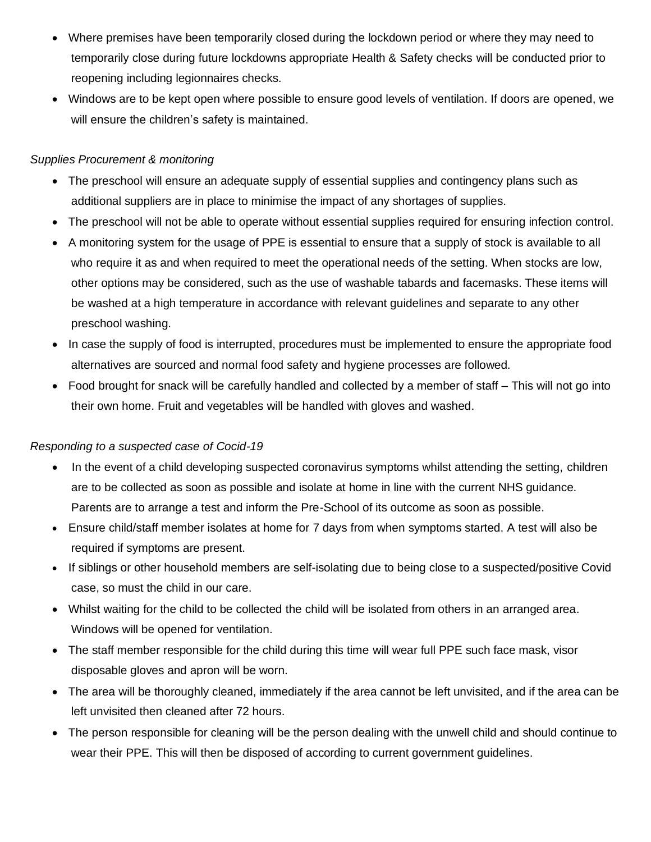- Where premises have been temporarily closed during the lockdown period or where they may need to temporarily close during future lockdowns appropriate Health & Safety checks will be conducted prior to reopening including legionnaires checks.
- Windows are to be kept open where possible to ensure good levels of ventilation. If doors are opened, we will ensure the children's safety is maintained.

### *Supplies Procurement & monitoring*

- The preschool will ensure an adequate supply of essential supplies and contingency plans such as additional suppliers are in place to minimise the impact of any shortages of supplies.
- The preschool will not be able to operate without essential supplies required for ensuring infection control.
- A monitoring system for the usage of PPE is essential to ensure that a supply of stock is available to all who require it as and when required to meet the operational needs of the setting. When stocks are low, other options may be considered, such as the use of washable tabards and facemasks. These items will be washed at a high temperature in accordance with relevant guidelines and separate to any other preschool washing.
- In case the supply of food is interrupted, procedures must be implemented to ensure the appropriate food alternatives are sourced and normal food safety and hygiene processes are followed.
- Food brought for snack will be carefully handled and collected by a member of staff This will not go into their own home. Fruit and vegetables will be handled with gloves and washed.

### *Responding to a suspected case of Cocid-19*

- In the event of a child developing suspected coronavirus symptoms whilst attending the setting, children are to be collected as soon as possible and isolate at home in line with the current NHS guidance. Parents are to arrange a test and inform the Pre-School of its outcome as soon as possible.
- Ensure child/staff member isolates at home for 7 days from when symptoms started. A test will also be required if symptoms are present.
- If siblings or other household members are self-isolating due to being close to a suspected/positive Covid case, so must the child in our care.
- Whilst waiting for the child to be collected the child will be isolated from others in an arranged area. Windows will be opened for ventilation.
- The staff member responsible for the child during this time will wear full PPE such face mask, visor disposable gloves and apron will be worn.
- The area will be thoroughly cleaned, immediately if the area cannot be left unvisited, and if the area can be left unvisited then cleaned after 72 hours.
- The person responsible for cleaning will be the person dealing with the unwell child and should continue to wear their PPE. This will then be disposed of according to current government guidelines.